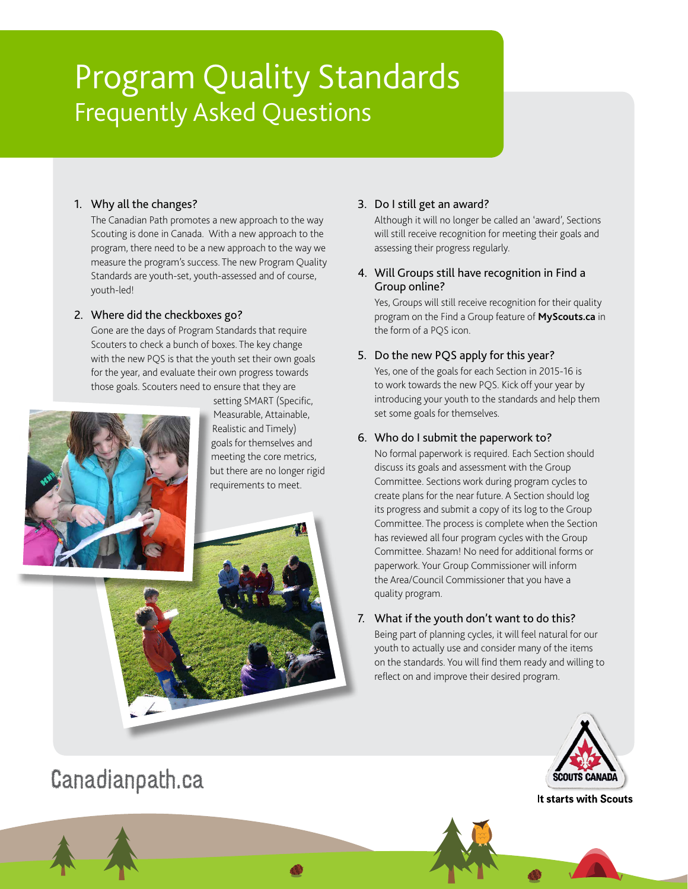# Program Quality Standards Frequently Asked Questions

#### 1. Why all the changes?

The Canadian Path promotes a new approach to the way Scouting is done in Canada. With a new approach to the program, there need to be a new approach to the way we measure the program's success. The new Program Quality Standards are youth-set, youth-assessed and of course, youth-led!

### 2. Where did the checkboxes go?

Gone are the days of Program Standards that require Scouters to check a bunch of boxes. The key change with the new PQS is that the youth set their own goals for the year, and evaluate their own progress towards those goals. Scouters need to ensure that they are



setting SMART (Specific, Measurable, Attainable, Realistic and Timely) goals for themselves and meeting the core metrics, but there are no longer rigid requirements to meet.

### 3. Do I still get an award?

Although it will no longer be called an 'award', Sections will still receive recognition for meeting their goals and assessing their progress regularly.

### 4. Will Groups still have recognition in Find a Group online?

Yes, Groups will still receive recognition for their quality program on the Find a Group feature of **[MyScouts.ca](https://www.myscouts.ca/)** in the form of a PQS icon.

## 5. Do the new PQS apply for this year?

Yes, one of the goals for each Section in 2015-16 is to work towards the new PQS. Kick off your year by introducing your youth to the standards and help them set some goals for themselves.

### 6. Who do I submit the paperwork to?

No formal paperwork is required. Each Section should discuss its goals and assessment with the Group Committee. Sections work during program cycles to create plans for the near future. A Section should log its progress and submit a copy of its log to the Group Committee. The process is complete when the Section has reviewed all four program cycles with the Group Committee. Shazam! No need for additional forms or paperwork. Your Group Commissioner will inform the Area/Council Commissioner that you have a quality program.

#### 7. What if the youth don't want to do this? Being part of planning cycles, it will feel natural for our

youth to actually use and consider many of the items on the standards. You will find them ready and willing to reflect on and improve their desired program.



It starts with Scouts

# [Canadianpath.ca](www.canadianpath.ca)